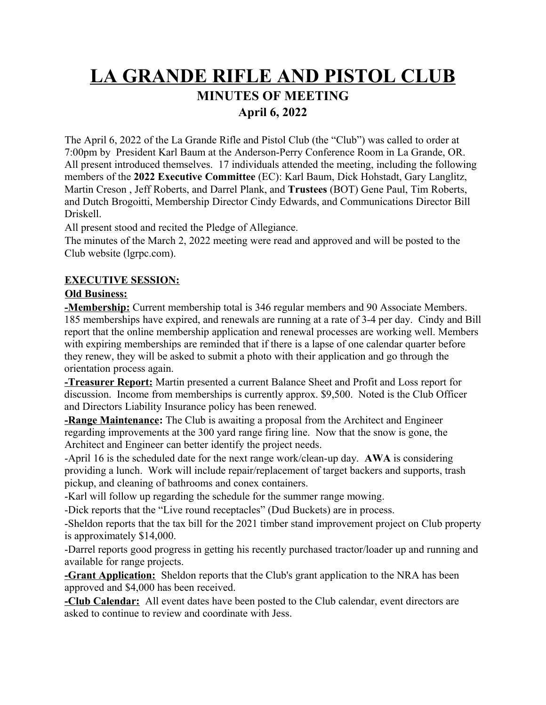# **LA GRANDE RIFLE AND PISTOL CLUB MINUTES OF MEETING April 6, 2022**

The April 6, 2022 of the La Grande Rifle and Pistol Club (the "Club") was called to order at 7:00pm by President Karl Baum at the Anderson-Perry Conference Room in La Grande, OR. All present introduced themselves. 17 individuals attended the meeting, including the following members of the **2022 Executive Committee** (EC): Karl Baum, Dick Hohstadt, Gary Langlitz, Martin Creson , Jeff Roberts, and Darrel Plank, and **Trustees** (BOT) Gene Paul, Tim Roberts, and Dutch Brogoitti, Membership Director Cindy Edwards, and Communications Director Bill Driskell.

All present stood and recited the Pledge of Allegiance.

The minutes of the March 2, 2022 meeting were read and approved and will be posted to the Club website (lgrpc.com).

# **EXECUTIVE SESSION:**

# **Old Business:**

**-Membership:** Current membership total is 346 regular members and 90 Associate Members. 185 memberships have expired, and renewals are running at a rate of 3-4 per day. Cindy and Bill report that the online membership application and renewal processes are working well. Members with expiring memberships are reminded that if there is a lapse of one calendar quarter before they renew, they will be asked to submit a photo with their application and go through the orientation process again.

**-Treasurer Report:** Martin presented a current Balance Sheet and Profit and Loss report for discussion. Income from memberships is currently approx. \$9,500. Noted is the Club Officer and Directors Liability Insurance policy has been renewed.

**-Range Maintenance:** The Club is awaiting a proposal from the Architect and Engineer regarding improvements at the 300 yard range firing line. Now that the snow is gone, the Architect and Engineer can better identify the project needs.

-April 16 is the scheduled date for the next range work/clean-up day. **AWA** is considering providing a lunch. Work will include repair/replacement of target backers and supports, trash pickup, and cleaning of bathrooms and conex containers.

-Karl will follow up regarding the schedule for the summer range mowing.

-Dick reports that the "Live round receptacles" (Dud Buckets) are in process.

-Sheldon reports that the tax bill for the 2021 timber stand improvement project on Club property is approximately \$14,000.

-Darrel reports good progress in getting his recently purchased tractor/loader up and running and available for range projects.

**-Grant Application:** Sheldon reports that the Club's grant application to the NRA has been approved and \$4,000 has been received.

**-Club Calendar:** All event dates have been posted to the Club calendar, event directors are asked to continue to review and coordinate with Jess.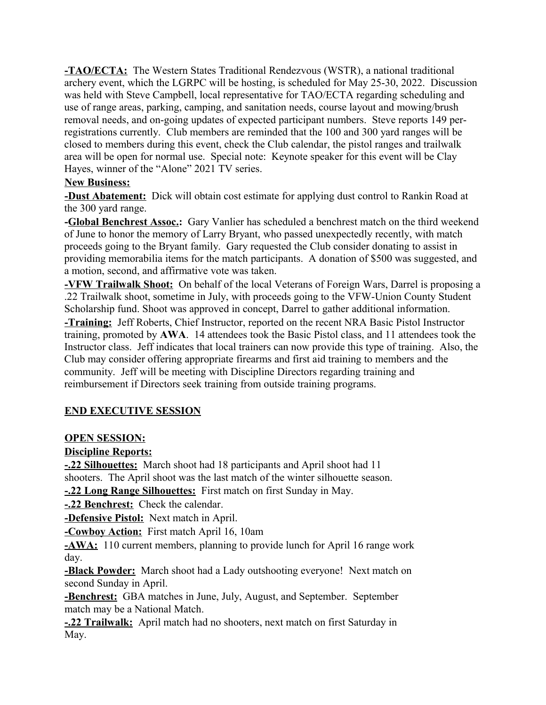**-TAO/ECTA:** The Western States Traditional Rendezvous (WSTR), a national traditional archery event, which the LGRPC will be hosting, is scheduled for May 25-30, 2022. Discussion was held with Steve Campbell, local representative for TAO/ECTA regarding scheduling and use of range areas, parking, camping, and sanitation needs, course layout and mowing/brush removal needs, and on-going updates of expected participant numbers. Steve reports 149 perregistrations currently. Club members are reminded that the 100 and 300 yard ranges will be closed to members during this event, check the Club calendar, the pistol ranges and trailwalk area will be open for normal use. Special note: Keynote speaker for this event will be Clay Hayes, winner of the "Alone" 2021 TV series.

#### **New Business:**

**-Dust Abatement:** Dick will obtain cost estimate for applying dust control to Rankin Road at the 300 yard range.

**-Global Benchrest Assoc.:** Gary Vanlier has scheduled a benchrest match on the third weekend of June to honor the memory of Larry Bryant, who passed unexpectedly recently, with match proceeds going to the Bryant family. Gary requested the Club consider donating to assist in providing memorabilia items for the match participants. A donation of \$500 was suggested, and a motion, second, and affirmative vote was taken.

**-VFW Trailwalk Shoot:** On behalf of the local Veterans of Foreign Wars, Darrel is proposing a .22 Trailwalk shoot, sometime in July, with proceeds going to the VFW-Union County Student Scholarship fund. Shoot was approved in concept, Darrel to gather additional information.

**-Training:** Jeff Roberts, Chief Instructor, reported on the recent NRA Basic Pistol Instructor training, promoted by **AWA**. 14 attendees took the Basic Pistol class, and 11 attendees took the Instructor class. Jeff indicates that local trainers can now provide this type of training. Also, the Club may consider offering appropriate firearms and first aid training to members and the community. Jeff will be meeting with Discipline Directors regarding training and reimbursement if Directors seek training from outside training programs.

# **END EXECUTIVE SESSION**

# **OPEN SESSION:**

# **Discipline Reports:**

**-.22 Silhouettes:** March shoot had 18 participants and April shoot had 11 shooters. The April shoot was the last match of the winter silhouette season.

**-.22 Long Range Silhouettes:** First match on first Sunday in May.

**-.22 Benchrest:** Check the calendar.

**-Defensive Pistol:** Next match in April.

**-Cowboy Action:** First match April 16, 10am

**-AWA:** 110 current members, planning to provide lunch for April 16 range work day.

**-Black Powder:** March shoot had a Lady outshooting everyone! Next match on second Sunday in April.

**-Benchrest:** GBA matches in June, July, August, and September. September match may be a National Match.

**-.22 Trailwalk:** April match had no shooters, next match on first Saturday in May.